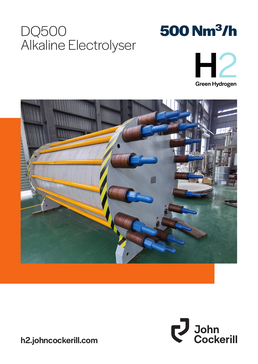## DQ500 Alkaline Electrolyser

# **500 Nm³/h**







h2.johncockerill.com